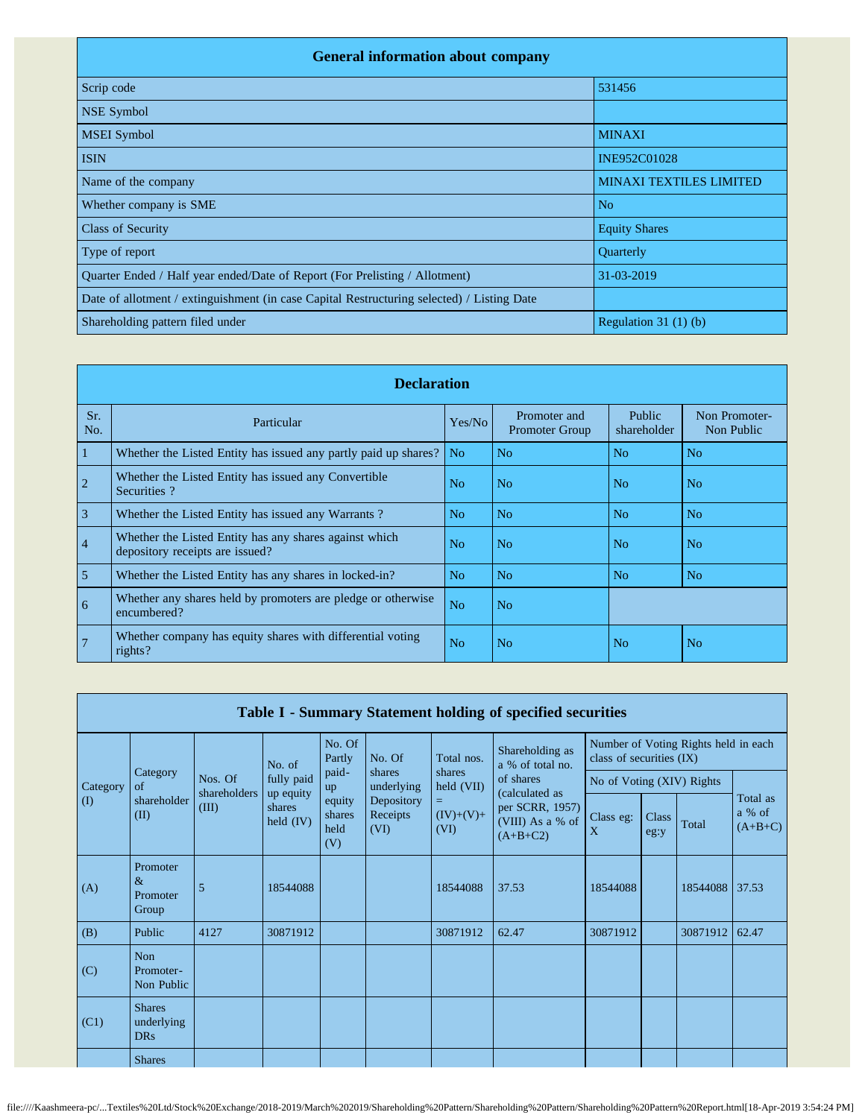| <b>General information about company</b>                                                   |                                |  |  |  |  |  |  |  |  |
|--------------------------------------------------------------------------------------------|--------------------------------|--|--|--|--|--|--|--|--|
| Scrip code                                                                                 | 531456                         |  |  |  |  |  |  |  |  |
| <b>NSE Symbol</b>                                                                          |                                |  |  |  |  |  |  |  |  |
| <b>MSEI</b> Symbol                                                                         | <b>MINAXI</b>                  |  |  |  |  |  |  |  |  |
| <b>ISIN</b>                                                                                | INE952C01028                   |  |  |  |  |  |  |  |  |
| Name of the company                                                                        | <b>MINAXI TEXTILES LIMITED</b> |  |  |  |  |  |  |  |  |
| Whether company is SME                                                                     | N <sub>o</sub>                 |  |  |  |  |  |  |  |  |
| <b>Class of Security</b>                                                                   | <b>Equity Shares</b>           |  |  |  |  |  |  |  |  |
| Type of report                                                                             | Quarterly                      |  |  |  |  |  |  |  |  |
| Quarter Ended / Half year ended/Date of Report (For Prelisting / Allotment)                | 31-03-2019                     |  |  |  |  |  |  |  |  |
| Date of allotment / extinguishment (in case Capital Restructuring selected) / Listing Date |                                |  |  |  |  |  |  |  |  |
| Shareholding pattern filed under                                                           | Regulation $31(1)(b)$          |  |  |  |  |  |  |  |  |

|                | <b>Declaration</b>                                                                        |                |                                       |                       |                             |  |  |  |  |  |  |
|----------------|-------------------------------------------------------------------------------------------|----------------|---------------------------------------|-----------------------|-----------------------------|--|--|--|--|--|--|
| Sr.<br>No.     | Particular                                                                                | Yes/No         | Promoter and<br><b>Promoter Group</b> | Public<br>shareholder | Non Promoter-<br>Non Public |  |  |  |  |  |  |
| 1              | Whether the Listed Entity has issued any partly paid up shares?                           | N <sub>o</sub> | N <sub>o</sub>                        | N <sub>o</sub>        | N <sub>o</sub>              |  |  |  |  |  |  |
| $\overline{2}$ | Whether the Listed Entity has issued any Convertible<br>Securities?                       | N <sub>o</sub> | N <sub>o</sub>                        | N <sub>0</sub>        | N <sub>o</sub>              |  |  |  |  |  |  |
| 3              | Whether the Listed Entity has issued any Warrants?                                        | No             | N <sub>o</sub>                        | No                    | No                          |  |  |  |  |  |  |
| $\overline{4}$ | Whether the Listed Entity has any shares against which<br>depository receipts are issued? | N <sub>0</sub> | No                                    | No                    | N <sub>0</sub>              |  |  |  |  |  |  |
| 5              | Whether the Listed Entity has any shares in locked-in?                                    | No             | No                                    | No                    | N <sub>o</sub>              |  |  |  |  |  |  |
| 6              | Whether any shares held by promoters are pledge or otherwise<br>encumbered?               | N <sub>o</sub> | No.                                   |                       |                             |  |  |  |  |  |  |
|                | Whether company has equity shares with differential voting<br>rights?                     | No             | No.                                   | N <sub>o</sub>        | No                          |  |  |  |  |  |  |

|          |                                           |                                  |                                                  |                                 |                                |                          | Table I - Summary Statement holding of specified securities         |                           |               |                                      |                                 |
|----------|-------------------------------------------|----------------------------------|--------------------------------------------------|---------------------------------|--------------------------------|--------------------------|---------------------------------------------------------------------|---------------------------|---------------|--------------------------------------|---------------------------------|
|          |                                           |                                  | No. of                                           | No. Of<br>Partly                | No. Of                         | Total nos.               | Shareholding as<br>a % of total no.                                 | class of securities (IX)  |               | Number of Voting Rights held in each |                                 |
| Category | Category<br>of                            | Nos. Of<br>shareholders<br>(III) | fully paid<br>up equity<br>shares<br>held $(IV)$ | paid-<br>up                     | shares<br>underlying           | shares<br>held (VII)     | of shares                                                           | No of Voting (XIV) Rights |               |                                      |                                 |
| $\rm(D)$ | shareholder<br>(II)                       |                                  |                                                  | equity<br>shares<br>held<br>(V) | Depository<br>Receipts<br>(VI) | =<br>$(IV)+(V)+$<br>(VI) | (calculated as<br>per SCRR, 1957)<br>(VIII) As a % of<br>$(A+B+C2)$ | Class eg:<br>X            | Class<br>eg:y | Total                                | Total as<br>a % of<br>$(A+B+C)$ |
| (A)      | Promoter<br>$\&$<br>Promoter<br>Group     | 5                                | 18544088                                         |                                 |                                | 18544088                 | 37.53                                                               | 18544088                  |               | 18544088                             | 37.53                           |
| (B)      | Public                                    | 4127                             | 30871912                                         |                                 |                                | 30871912                 | 62.47                                                               | 30871912                  |               | 30871912                             | 62.47                           |
| (C)      | Non<br>Promoter-<br>Non Public            |                                  |                                                  |                                 |                                |                          |                                                                     |                           |               |                                      |                                 |
| (C1)     | <b>Shares</b><br>underlying<br><b>DRs</b> |                                  |                                                  |                                 |                                |                          |                                                                     |                           |               |                                      |                                 |
|          | <b>Shares</b>                             |                                  |                                                  |                                 |                                |                          |                                                                     |                           |               |                                      |                                 |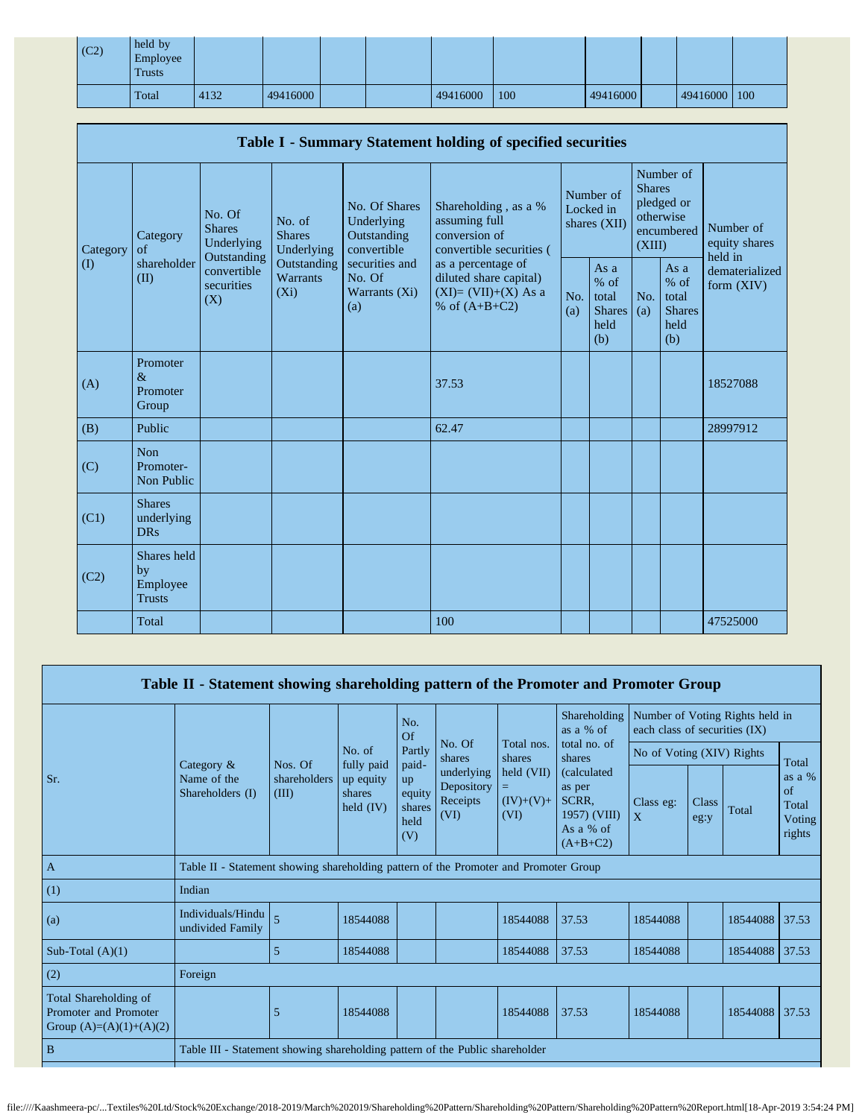| (C2) | held by<br>Employee<br><b>Trusts</b> |      |          |  |          |     |          |          |     |
|------|--------------------------------------|------|----------|--|----------|-----|----------|----------|-----|
|      | Total                                | 4132 | 49416000 |  | 49416000 | 100 | 49416000 | 49416000 | 100 |

|          |                                                |                                                                                          |                                                                             |                                                                                                                 | Table I - Summary Statement holding of specified securities                              |            |                                                         |                         |                                                         |                                           |
|----------|------------------------------------------------|------------------------------------------------------------------------------------------|-----------------------------------------------------------------------------|-----------------------------------------------------------------------------------------------------------------|------------------------------------------------------------------------------------------|------------|---------------------------------------------------------|-------------------------|---------------------------------------------------------|-------------------------------------------|
| Category | Category<br>$\alpha$ f<br>shareholder<br>(II)  | No. Of<br><b>Shares</b><br>Underlying<br>Outstanding<br>convertible<br>securities<br>(X) | No. of<br><b>Shares</b><br>Underlying<br>Outstanding<br>Warrants<br>$(X_i)$ | No. Of Shares<br>Underlying<br>Outstanding<br>convertible<br>securities and<br>No. Of<br>Warrants $(Xi)$<br>(a) | Shareholding, as a %<br>assuming full<br>conversion of<br>convertible securities (       |            | Number of<br>Locked in<br>shares (XII)                  | <b>Shares</b><br>(XIII) | Number of<br>pledged or<br>otherwise<br>encumbered      | Number of<br>equity shares                |
| $\rm(D)$ |                                                |                                                                                          |                                                                             |                                                                                                                 | as a percentage of<br>diluted share capital)<br>$(XI)=(VII)+(X)$ As a<br>% of $(A+B+C2)$ | No.<br>(a) | As a<br>$%$ of<br>total<br><b>Shares</b><br>held<br>(b) | No.<br>(a)              | As a<br>$%$ of<br>total<br><b>Shares</b><br>held<br>(b) | held in<br>dematerialized<br>form $(XIV)$ |
| (A)      | Promoter<br>$\&$<br>Promoter<br>Group          |                                                                                          |                                                                             |                                                                                                                 | 37.53                                                                                    |            |                                                         |                         |                                                         | 18527088                                  |
| (B)      | Public                                         |                                                                                          |                                                                             |                                                                                                                 | 62.47                                                                                    |            |                                                         |                         |                                                         | 28997912                                  |
| (C)      | Non<br>Promoter-<br>Non Public                 |                                                                                          |                                                                             |                                                                                                                 |                                                                                          |            |                                                         |                         |                                                         |                                           |
| (C1)     | <b>Shares</b><br>underlying<br><b>DRs</b>      |                                                                                          |                                                                             |                                                                                                                 |                                                                                          |            |                                                         |                         |                                                         |                                           |
| (C2)     | Shares held<br>by<br>Employee<br><b>Trusts</b> |                                                                                          |                                                                             |                                                                                                                 |                                                                                          |            |                                                         |                         |                                                         |                                           |
|          | Total                                          |                                                                                          |                                                                             |                                                                                                                 | 100                                                                                      |            |                                                         |                         |                                                         | 47525000                                  |

|                                                                             | Table II - Statement showing shareholding pattern of the Promoter and Promoter Group |                                                                     |                                                                                                                                            |                                              |                                              |                                            |                                                                           |                               |                      |                                 |                                             |
|-----------------------------------------------------------------------------|--------------------------------------------------------------------------------------|---------------------------------------------------------------------|--------------------------------------------------------------------------------------------------------------------------------------------|----------------------------------------------|----------------------------------------------|--------------------------------------------|---------------------------------------------------------------------------|-------------------------------|----------------------|---------------------------------|---------------------------------------------|
|                                                                             |                                                                                      |                                                                     |                                                                                                                                            | No.<br>Of                                    |                                              |                                            | Shareholding<br>as a % of                                                 | each class of securities (IX) |                      | Number of Voting Rights held in |                                             |
|                                                                             |                                                                                      | Nos. Of<br>shareholders<br>(III)                                    | No. Of<br>total no. of<br>Total nos.<br>Partly<br>No. of<br>No of Voting (XIV) Rights<br>shares<br>shares<br>shares<br>fully paid<br>paid- |                                              |                                              |                                            |                                                                           |                               |                      |                                 | Total                                       |
| Sr.                                                                         | Category $\&$<br>Name of the<br>Shareholders (I)                                     |                                                                     | up equity<br>shares<br>held $(IV)$                                                                                                         | <b>up</b><br>equity<br>shares<br>held<br>(V) | underlying<br>Depository<br>Receipts<br>(VI) | $\text{held (VII)}$<br>$(IV)+(V)+$<br>(VI) | (calculated<br>as per<br>SCRR,<br>1957) (VIII)<br>As a % of<br>$(A+B+C2)$ | Class eg:<br>$\mathbf{X}$     | <b>Class</b><br>eg:y | Total                           | as a $%$<br>of<br>Total<br>Voting<br>rights |
| A                                                                           | Table II - Statement showing shareholding pattern of the Promoter and Promoter Group |                                                                     |                                                                                                                                            |                                              |                                              |                                            |                                                                           |                               |                      |                                 |                                             |
| (1)                                                                         | Indian                                                                               |                                                                     |                                                                                                                                            |                                              |                                              |                                            |                                                                           |                               |                      |                                 |                                             |
| (a)                                                                         | Individuals/Hindu<br>undivided Family                                                | 5                                                                   | 18544088                                                                                                                                   |                                              |                                              | 18544088                                   | 37.53                                                                     | 18544088                      |                      | 18544088                        | 37.53                                       |
| Sub-Total $(A)(1)$                                                          |                                                                                      | 5                                                                   | 18544088                                                                                                                                   |                                              |                                              | 18544088                                   | 37.53                                                                     | 18544088                      |                      | 18544088                        | 37.53                                       |
| (2)                                                                         | Foreign                                                                              |                                                                     |                                                                                                                                            |                                              |                                              |                                            |                                                                           |                               |                      |                                 |                                             |
| Total Shareholding of<br>Promoter and Promoter<br>Group $(A)=(A)(1)+(A)(2)$ |                                                                                      | 5<br>37.53<br>37.53<br>18544088<br>18544088<br>18544088<br>18544088 |                                                                                                                                            |                                              |                                              |                                            |                                                                           |                               |                      |                                 |                                             |
| B                                                                           | Table III - Statement showing shareholding pattern of the Public shareholder         |                                                                     |                                                                                                                                            |                                              |                                              |                                            |                                                                           |                               |                      |                                 |                                             |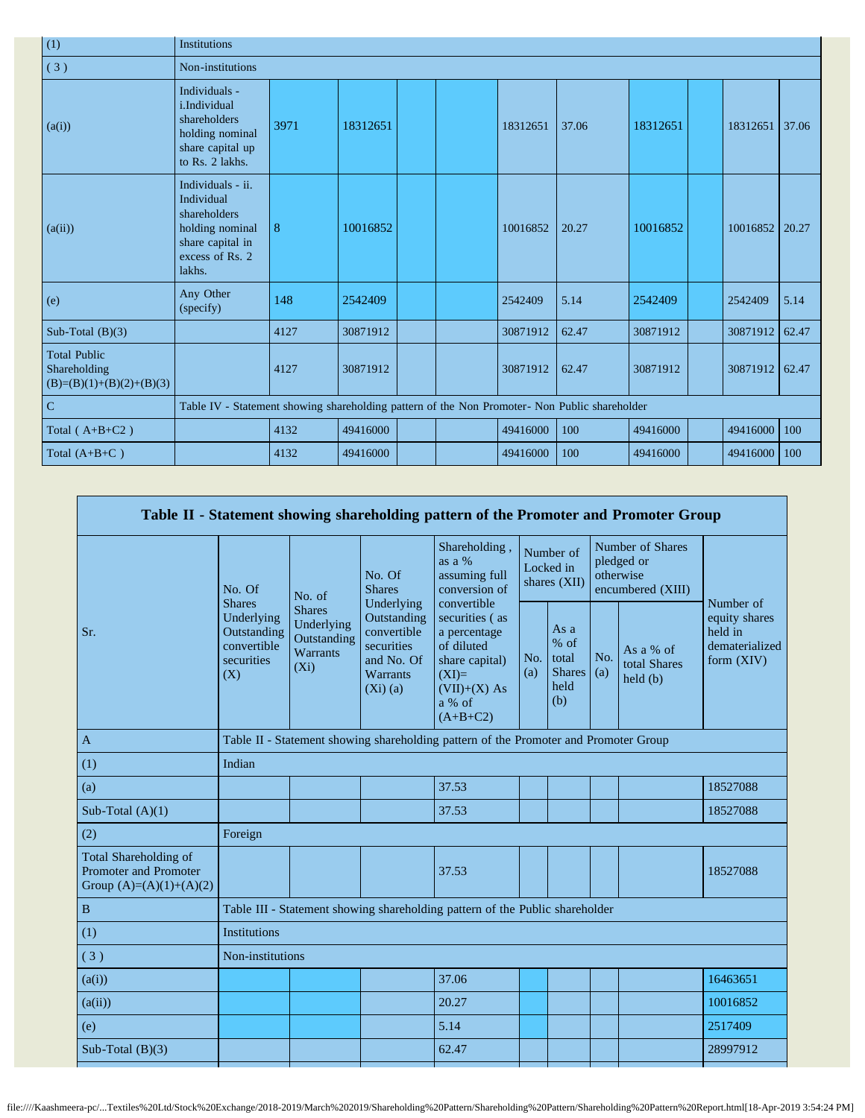| (1)                                                               | <b>Institutions</b>                                                                                                 |       |          |  |  |          |       |          |  |          |       |  |
|-------------------------------------------------------------------|---------------------------------------------------------------------------------------------------------------------|-------|----------|--|--|----------|-------|----------|--|----------|-------|--|
| (3)                                                               | Non-institutions                                                                                                    |       |          |  |  |          |       |          |  |          |       |  |
| (a(i))                                                            | Individuals -<br>i.Individual<br>shareholders<br>holding nominal<br>share capital up<br>to Rs. 2 lakhs.             | 3971  | 18312651 |  |  | 18312651 | 37.06 | 18312651 |  | 18312651 | 37.06 |  |
| (a(ii))                                                           | Individuals - ii.<br>Individual<br>shareholders<br>holding nominal<br>share capital in<br>excess of Rs. 2<br>lakhs. | $8\,$ | 10016852 |  |  | 10016852 | 20.27 | 10016852 |  | 10016852 | 20.27 |  |
| (e)                                                               | Any Other<br>(specify)                                                                                              | 148   | 2542409  |  |  | 2542409  | 5.14  | 2542409  |  | 2542409  | 5.14  |  |
| Sub-Total $(B)(3)$                                                |                                                                                                                     | 4127  | 30871912 |  |  | 30871912 | 62.47 | 30871912 |  | 30871912 | 62.47 |  |
| <b>Total Public</b><br>Shareholding<br>$(B)=(B)(1)+(B)(2)+(B)(3)$ |                                                                                                                     | 4127  | 30871912 |  |  | 30871912 | 62.47 | 30871912 |  | 30871912 | 62.47 |  |
| ${\bf C}$                                                         | Table IV - Statement showing shareholding pattern of the Non Promoter- Non Public shareholder                       |       |          |  |  |          |       |          |  |          |       |  |
| Total ( $A+B+C2$ )                                                |                                                                                                                     | 4132  | 49416000 |  |  | 49416000 | 100   | 49416000 |  | 49416000 | 100   |  |
| Total $(A+B+C)$                                                   |                                                                                                                     | 4132  | 49416000 |  |  | 49416000 | 100   | 49416000 |  | 49416000 | 100   |  |

|                                                                                    |                                                               |                                                                          |                                                                                  | Table II - Statement showing shareholding pattern of the Promoter and Promoter Group                                |            |                                                         |            |                                                                  |                                                            |
|------------------------------------------------------------------------------------|---------------------------------------------------------------|--------------------------------------------------------------------------|----------------------------------------------------------------------------------|---------------------------------------------------------------------------------------------------------------------|------------|---------------------------------------------------------|------------|------------------------------------------------------------------|------------------------------------------------------------|
|                                                                                    | No. Of<br><b>Shares</b>                                       | No. of                                                                   | No. Of<br><b>Shares</b><br>Underlying                                            | Shareholding,<br>as a %<br>assuming full<br>conversion of<br>convertible                                            |            | Number of<br>Locked in<br>shares (XII)                  |            | Number of Shares<br>pledged or<br>otherwise<br>encumbered (XIII) | Number of                                                  |
| Sr.                                                                                | Underlying<br>Outstanding<br>convertible<br>securities<br>(X) | <b>Shares</b><br>Underlying<br>Outstanding<br><b>Warrants</b><br>$(X_i)$ | Outstanding<br>convertible<br>securities<br>and No. Of<br>Warrants<br>$(Xi)$ (a) | securities (as<br>a percentage<br>of diluted<br>share capital)<br>$(XI)=$<br>$(VII)+(X) As$<br>a % of<br>$(A+B+C2)$ | No.<br>(a) | As a<br>$%$ of<br>total<br><b>Shares</b><br>held<br>(b) | No.<br>(a) | As a % of<br>total Shares<br>$\text{held}(\text{b})$             | equity shares<br>held in<br>dematerialized<br>form $(XIV)$ |
| $\mathbf{A}$                                                                       |                                                               |                                                                          |                                                                                  | Table II - Statement showing shareholding pattern of the Promoter and Promoter Group                                |            |                                                         |            |                                                                  |                                                            |
| (1)                                                                                | Indian                                                        |                                                                          |                                                                                  |                                                                                                                     |            |                                                         |            |                                                                  |                                                            |
| (a)                                                                                |                                                               |                                                                          |                                                                                  | 37.53                                                                                                               |            |                                                         |            |                                                                  | 18527088                                                   |
| Sub-Total $(A)(1)$                                                                 |                                                               |                                                                          |                                                                                  | 37.53                                                                                                               |            |                                                         |            |                                                                  | 18527088                                                   |
| (2)                                                                                | Foreign                                                       |                                                                          |                                                                                  |                                                                                                                     |            |                                                         |            |                                                                  |                                                            |
| Total Shareholding of<br><b>Promoter and Promoter</b><br>Group $(A)=(A)(1)+(A)(2)$ |                                                               |                                                                          |                                                                                  | 37.53                                                                                                               |            |                                                         |            |                                                                  | 18527088                                                   |
| $\, {\bf B}$                                                                       |                                                               |                                                                          |                                                                                  | Table III - Statement showing shareholding pattern of the Public shareholder                                        |            |                                                         |            |                                                                  |                                                            |
| (1)                                                                                | Institutions                                                  |                                                                          |                                                                                  |                                                                                                                     |            |                                                         |            |                                                                  |                                                            |
| (3)                                                                                | Non-institutions                                              |                                                                          |                                                                                  |                                                                                                                     |            |                                                         |            |                                                                  |                                                            |
| (a(i))                                                                             |                                                               |                                                                          |                                                                                  | 37.06                                                                                                               |            |                                                         |            |                                                                  | 16463651                                                   |
| (a(ii))                                                                            |                                                               |                                                                          |                                                                                  | 20.27                                                                                                               |            |                                                         |            |                                                                  | 10016852                                                   |
| (e)                                                                                |                                                               |                                                                          |                                                                                  | 5.14                                                                                                                |            |                                                         |            |                                                                  | 2517409                                                    |
| Sub-Total $(B)(3)$                                                                 |                                                               |                                                                          |                                                                                  | 62.47                                                                                                               |            |                                                         |            |                                                                  | 28997912                                                   |
|                                                                                    |                                                               |                                                                          |                                                                                  |                                                                                                                     |            |                                                         |            |                                                                  |                                                            |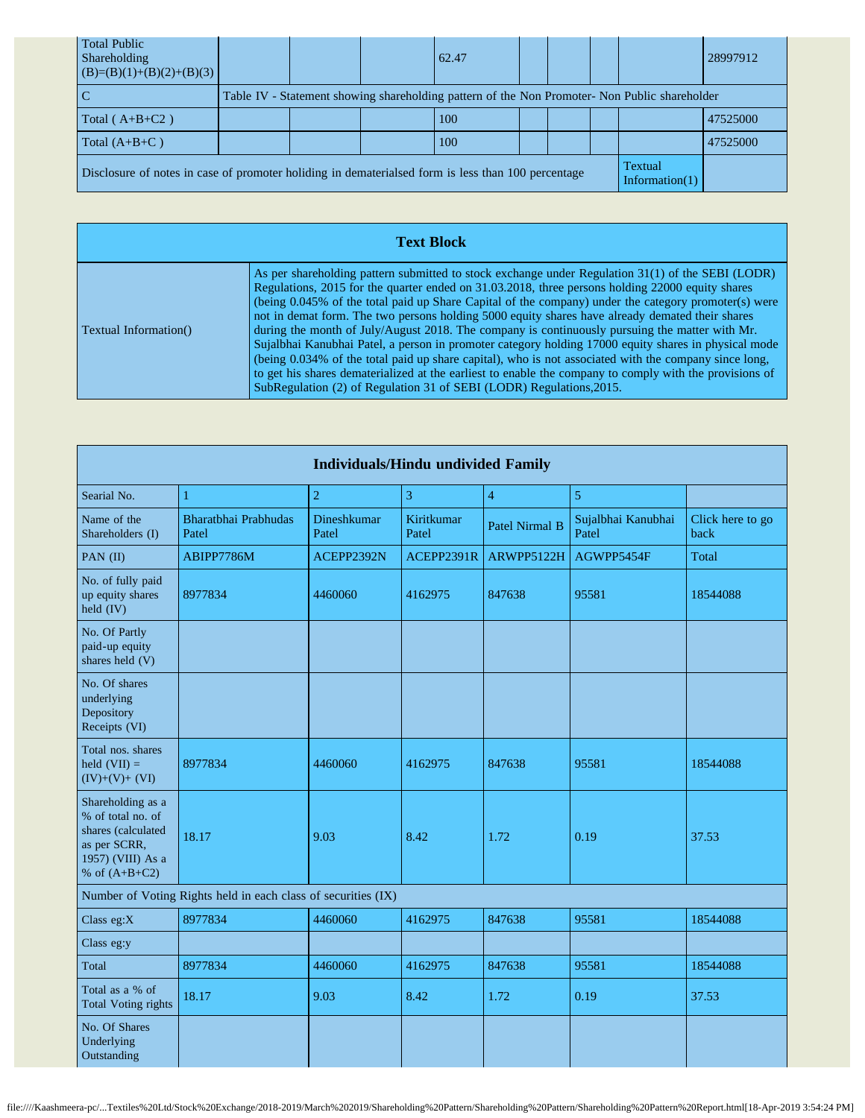| <b>Total Public</b><br>Shareholding<br>$(B)=(B)(1)+(B)(2)+(B)(3)$                                  |  | 62.47                                                                                         |  |                                     | 28997912 |
|----------------------------------------------------------------------------------------------------|--|-----------------------------------------------------------------------------------------------|--|-------------------------------------|----------|
| l C                                                                                                |  | Table IV - Statement showing shareholding pattern of the Non Promoter- Non Public shareholder |  |                                     |          |
| Total $(A+B+C2)$                                                                                   |  | 100                                                                                           |  |                                     | 47525000 |
| Total $(A+B+C)$                                                                                    |  | 100                                                                                           |  |                                     | 47525000 |
| Disclosure of notes in case of promoter holiding in dematerialsed form is less than 100 percentage |  |                                                                                               |  | <b>Textual</b><br>Information $(1)$ |          |

|                               | <b>Text Block</b>                                                                                                                                                                                                                                                                                                                                                                                                                                                                                                                                                                                                                                                                                                                                                                                                                                                                                                      |
|-------------------------------|------------------------------------------------------------------------------------------------------------------------------------------------------------------------------------------------------------------------------------------------------------------------------------------------------------------------------------------------------------------------------------------------------------------------------------------------------------------------------------------------------------------------------------------------------------------------------------------------------------------------------------------------------------------------------------------------------------------------------------------------------------------------------------------------------------------------------------------------------------------------------------------------------------------------|
| <b>Textual Information</b> () | As per shareholding pattern submitted to stock exchange under Regulation 31(1) of the SEBI (LODR)<br>Regulations, 2015 for the quarter ended on 31.03.2018, three persons holding 22000 equity shares<br>(being 0.045% of the total paid up Share Capital of the company) under the category promoter(s) were<br>not in demat form. The two persons holding 5000 equity shares have already demated their shares<br>during the month of July/August 2018. The company is continuously pursuing the matter with Mr.<br>Sujalbhai Kanubhai Patel, a person in promoter category holding 17000 equity shares in physical mode<br>(being 0.034% of the total paid up share capital), who is not associated with the company since long,<br>to get his shares dematerialized at the earliest to enable the company to comply with the provisions of<br>SubRegulation (2) of Regulation 31 of SEBI (LODR) Regulations, 2015. |

| <b>Individuals/Hindu undivided Family</b>                                                                            |                                                               |                      |                     |                       |                             |                          |  |  |  |  |  |
|----------------------------------------------------------------------------------------------------------------------|---------------------------------------------------------------|----------------------|---------------------|-----------------------|-----------------------------|--------------------------|--|--|--|--|--|
| Searial No.                                                                                                          | 1                                                             | $\overline{2}$       | 3                   | $\overline{4}$        | $\overline{5}$              |                          |  |  |  |  |  |
| Name of the<br>Shareholders (I)                                                                                      | Bharatbhai Prabhudas<br>Patel                                 | Dineshkumar<br>Patel | Kiritkumar<br>Patel | <b>Patel Nirmal B</b> | Sujalbhai Kanubhai<br>Patel | Click here to go<br>back |  |  |  |  |  |
| PAN (II)                                                                                                             | ABIPP7786M                                                    | ACEPP2392N           | ACEPP2391R          | ARWPP5122H            | AGWPP5454F                  | Total                    |  |  |  |  |  |
| No. of fully paid<br>up equity shares<br>$\text{held (IV)}$                                                          | 8977834                                                       | 4460060              | 4162975             | 847638                | 95581                       | 18544088                 |  |  |  |  |  |
| No. Of Partly<br>paid-up equity<br>shares held (V)                                                                   |                                                               |                      |                     |                       |                             |                          |  |  |  |  |  |
| No. Of shares<br>underlying<br>Depository<br>Receipts (VI)                                                           |                                                               |                      |                     |                       |                             |                          |  |  |  |  |  |
| Total nos. shares<br>held $(VII) =$<br>$(IV)+(V)+(VI)$                                                               | 8977834                                                       | 4460060              | 4162975             | 847638                | 95581                       | 18544088                 |  |  |  |  |  |
| Shareholding as a<br>% of total no. of<br>shares (calculated<br>as per SCRR,<br>1957) (VIII) As a<br>% of $(A+B+C2)$ | 18.17                                                         | 9.03                 | 8.42                | 1.72                  | 0.19                        | 37.53                    |  |  |  |  |  |
|                                                                                                                      | Number of Voting Rights held in each class of securities (IX) |                      |                     |                       |                             |                          |  |  |  |  |  |
| Class eg:X                                                                                                           | 8977834                                                       | 4460060              | 4162975             | 847638                | 95581                       | 18544088                 |  |  |  |  |  |
| Class eg:y                                                                                                           |                                                               |                      |                     |                       |                             |                          |  |  |  |  |  |
| Total                                                                                                                | 8977834                                                       | 4460060              | 4162975             | 847638                | 95581                       | 18544088                 |  |  |  |  |  |
| Total as a % of<br><b>Total Voting rights</b>                                                                        | 18.17                                                         | 9.03                 | 8.42                | 1.72                  | 0.19                        | 37.53                    |  |  |  |  |  |
| No. Of Shares<br>Underlying<br>Outstanding                                                                           |                                                               |                      |                     |                       |                             |                          |  |  |  |  |  |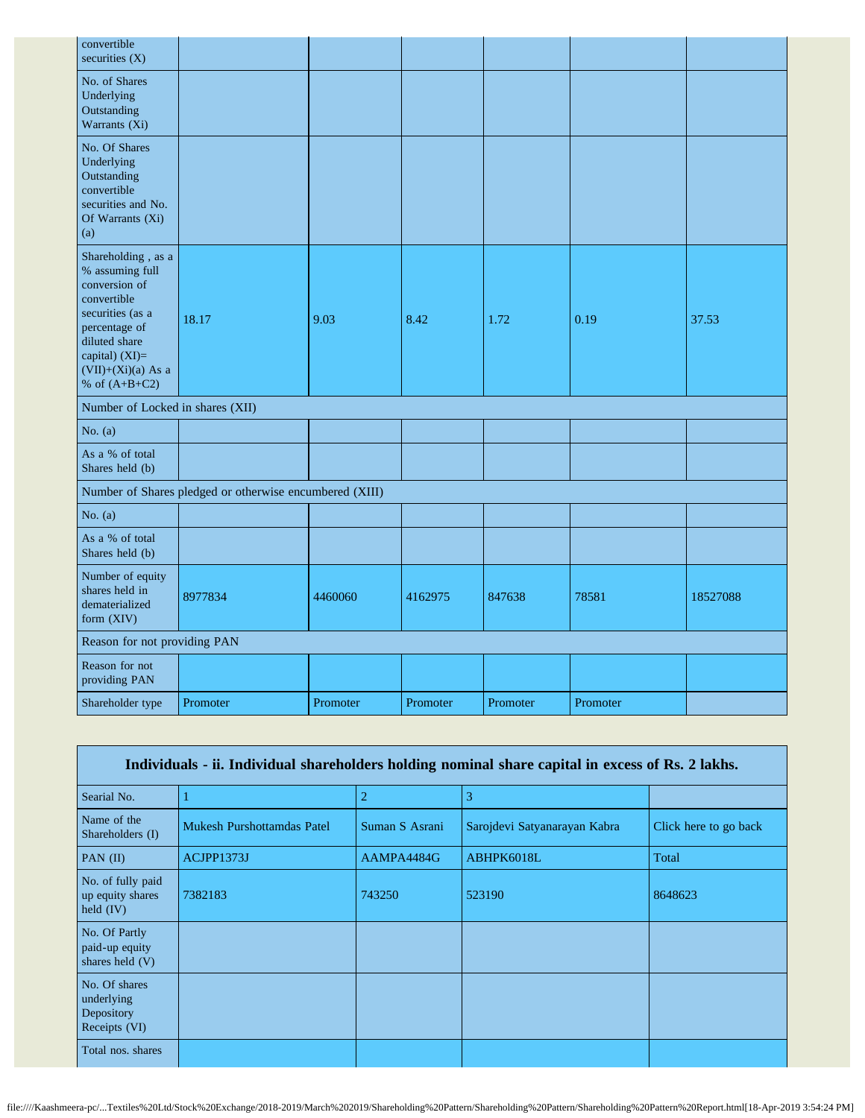| convertible<br>securities $(X)$                                                                                                                                                            |                                                         |          |          |          |          |          |
|--------------------------------------------------------------------------------------------------------------------------------------------------------------------------------------------|---------------------------------------------------------|----------|----------|----------|----------|----------|
| No. of Shares<br>Underlying<br>Outstanding<br>Warrants (Xi)                                                                                                                                |                                                         |          |          |          |          |          |
| No. Of Shares<br>Underlying<br>Outstanding<br>convertible<br>securities and No.<br>Of Warrants (Xi)<br>(a)                                                                                 |                                                         |          |          |          |          |          |
| Shareholding, as a<br>% assuming full<br>conversion of<br>convertible<br>securities (as a<br>percentage of<br>diluted share<br>capital) $(XI)=$<br>$(VII)+(Xi)(a)$ As a<br>% of $(A+B+C2)$ | 18.17                                                   | 9.03     | 8.42     | 1.72     | 0.19     | 37.53    |
| Number of Locked in shares (XII)                                                                                                                                                           |                                                         |          |          |          |          |          |
| No. $(a)$                                                                                                                                                                                  |                                                         |          |          |          |          |          |
| As a % of total<br>Shares held (b)                                                                                                                                                         |                                                         |          |          |          |          |          |
|                                                                                                                                                                                            | Number of Shares pledged or otherwise encumbered (XIII) |          |          |          |          |          |
| No. $(a)$                                                                                                                                                                                  |                                                         |          |          |          |          |          |
| As a % of total<br>Shares held (b)                                                                                                                                                         |                                                         |          |          |          |          |          |
| Number of equity<br>shares held in<br>dematerialized<br>form (XIV)                                                                                                                         | 8977834                                                 | 4460060  | 4162975  | 847638   | 78581    | 18527088 |
| Reason for not providing PAN                                                                                                                                                               |                                                         |          |          |          |          |          |
| Reason for not<br>providing PAN                                                                                                                                                            |                                                         |          |          |          |          |          |
| Shareholder type                                                                                                                                                                           | Promoter                                                | Promoter | Promoter | Promoter | Promoter |          |

| Individuals - ii. Individual shareholders holding nominal share capital in excess of Rs. 2 lakhs. |                            |                |                              |                       |  |  |
|---------------------------------------------------------------------------------------------------|----------------------------|----------------|------------------------------|-----------------------|--|--|
| Searial No.                                                                                       |                            | $\overline{c}$ | 3                            |                       |  |  |
| Name of the<br>Shareholders (I)                                                                   | Mukesh Purshottamdas Patel | Suman S Asrani | Sarojdevi Satyanarayan Kabra | Click here to go back |  |  |
| PAN $(II)$                                                                                        | ACJPP1373J                 | AAMPA4484G     | ABHPK6018L                   | Total                 |  |  |
| No. of fully paid<br>up equity shares<br>held $(IV)$                                              | 7382183                    | 743250         | 523190                       | 8648623               |  |  |
| No. Of Partly<br>paid-up equity<br>shares held $(V)$                                              |                            |                |                              |                       |  |  |
| No. Of shares<br>underlying<br>Depository<br>Receipts (VI)                                        |                            |                |                              |                       |  |  |
| Total nos. shares                                                                                 |                            |                |                              |                       |  |  |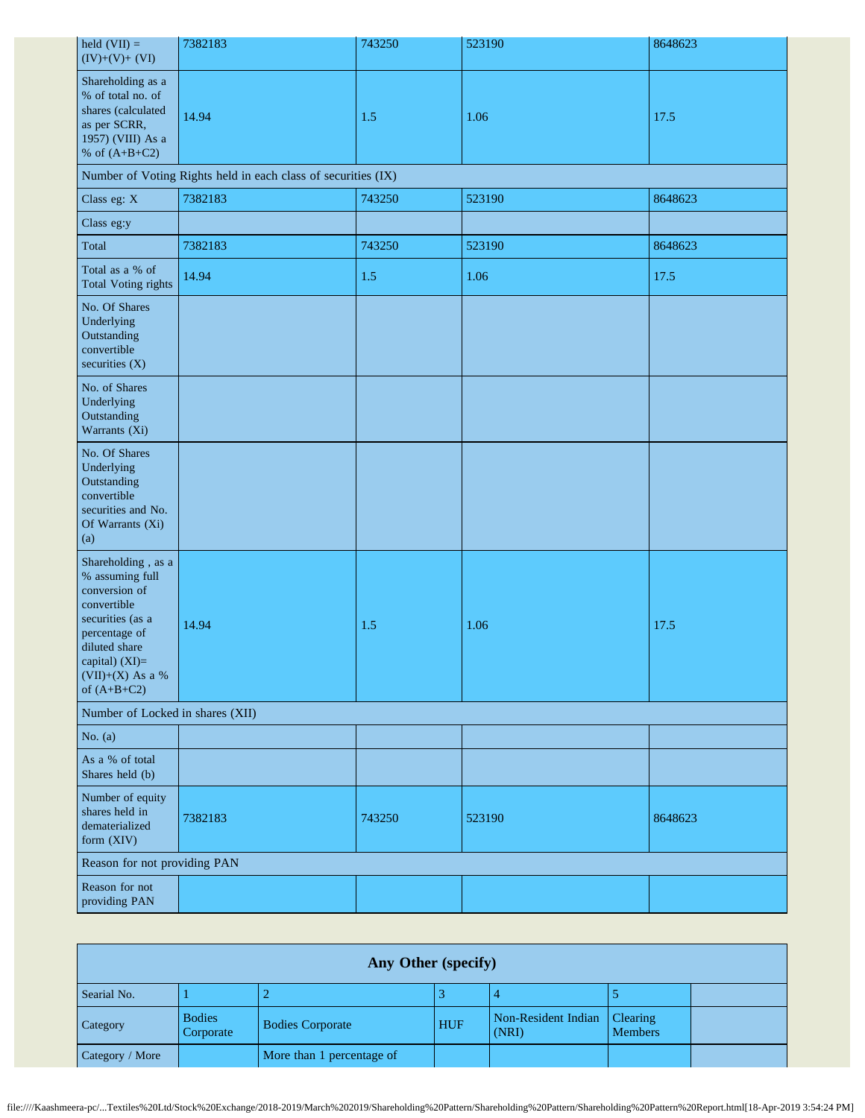| held $(VII) =$<br>$(IV)+(V)+(VI)$                                                                                                                                                    | 7382183 | 743250 | 523190 | 8648623 |  |  |  |  |
|--------------------------------------------------------------------------------------------------------------------------------------------------------------------------------------|---------|--------|--------|---------|--|--|--|--|
| Shareholding as a<br>% of total no. of<br>shares (calculated<br>as per SCRR,<br>1957) (VIII) As a<br>% of $(A+B+C2)$                                                                 | 14.94   | 1.5    | 1.06   | 17.5    |  |  |  |  |
| Number of Voting Rights held in each class of securities (IX)                                                                                                                        |         |        |        |         |  |  |  |  |
| Class eg: X                                                                                                                                                                          | 7382183 | 743250 | 523190 | 8648623 |  |  |  |  |
| Class eg:y                                                                                                                                                                           |         |        |        |         |  |  |  |  |
| Total                                                                                                                                                                                | 7382183 | 743250 | 523190 | 8648623 |  |  |  |  |
| Total as a % of<br>Total Voting rights                                                                                                                                               | 14.94   | 1.5    | 1.06   | 17.5    |  |  |  |  |
| No. Of Shares<br>Underlying<br>Outstanding<br>convertible<br>securities (X)                                                                                                          |         |        |        |         |  |  |  |  |
| No. of Shares<br>Underlying<br>Outstanding<br>Warrants (Xi)                                                                                                                          |         |        |        |         |  |  |  |  |
| No. Of Shares<br>Underlying<br>Outstanding<br>convertible<br>securities and No.<br>Of Warrants (Xi)<br>(a)                                                                           |         |        |        |         |  |  |  |  |
| Shareholding, as a<br>% assuming full<br>conversion of<br>convertible<br>securities (as a<br>percentage of<br>diluted share<br>capital) $(XI)=$<br>(VII)+(X) As a %<br>of $(A+B+C2)$ | 14.94   | 1.5    | 1.06   | 17.5    |  |  |  |  |
| Number of Locked in shares (XII)                                                                                                                                                     |         |        |        |         |  |  |  |  |
| No. $(a)$                                                                                                                                                                            |         |        |        |         |  |  |  |  |
| As a % of total<br>Shares held (b)                                                                                                                                                   |         |        |        |         |  |  |  |  |
| Number of equity<br>shares held in<br>dematerialized<br>form (XIV)                                                                                                                   | 7382183 | 743250 | 523190 | 8648623 |  |  |  |  |
| Reason for not providing PAN                                                                                                                                                         |         |        |        |         |  |  |  |  |
| Reason for not<br>providing PAN                                                                                                                                                      |         |        |        |         |  |  |  |  |

| Any Other (specify) |                            |                           |            |                              |                                   |  |
|---------------------|----------------------------|---------------------------|------------|------------------------------|-----------------------------------|--|
| Searial No.         |                            |                           |            |                              |                                   |  |
| Category            | <b>Bodies</b><br>Corporate | <b>Bodies Corporate</b>   | <b>HUF</b> | Non-Resident Indian<br>(NRI) | <b>Clearing</b><br><b>Members</b> |  |
| Category / More     |                            | More than 1 percentage of |            |                              |                                   |  |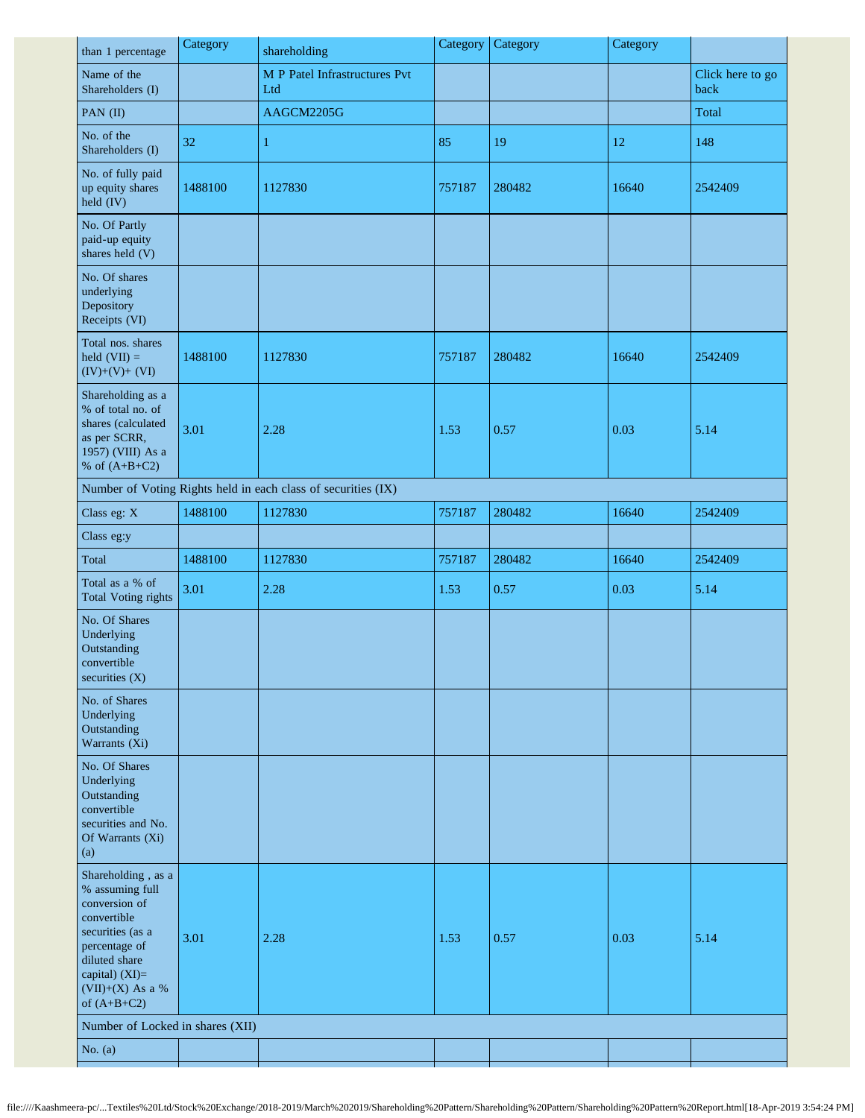| than 1 percentage                                                                                                                                                                  | Category | shareholding                                                  | Category | Category | Category |                          |
|------------------------------------------------------------------------------------------------------------------------------------------------------------------------------------|----------|---------------------------------------------------------------|----------|----------|----------|--------------------------|
| Name of the<br>Shareholders (I)                                                                                                                                                    |          | M P Patel Infrastructures Pvt<br>Ltd                          |          |          |          | Click here to go<br>back |
| PAN (II)                                                                                                                                                                           |          | AAGCM2205G                                                    |          |          |          | Total                    |
| No. of the<br>Shareholders (I)                                                                                                                                                     | 32       | $\mathbf{1}$                                                  | 85       | 19       | 12       | 148                      |
| No. of fully paid<br>up equity shares<br>$\text{held (IV)}$                                                                                                                        | 1488100  | 1127830                                                       | 757187   | 280482   | 16640    | 2542409                  |
| No. Of Partly<br>paid-up equity<br>shares held (V)                                                                                                                                 |          |                                                               |          |          |          |                          |
| No. Of shares<br>underlying<br>Depository<br>Receipts (VI)                                                                                                                         |          |                                                               |          |          |          |                          |
| Total nos. shares<br>held $(VII) =$<br>$(IV)+(V)+(VI)$                                                                                                                             | 1488100  | 1127830                                                       | 757187   | 280482   | 16640    | 2542409                  |
| Shareholding as a<br>% of total no. of<br>shares (calculated<br>as per SCRR,<br>1957) (VIII) As a<br>% of $(A+B+C2)$                                                               | 3.01     | 2.28                                                          | 1.53     | 0.57     | 0.03     | 5.14                     |
|                                                                                                                                                                                    |          | Number of Voting Rights held in each class of securities (IX) |          |          |          |                          |
| Class eg: X                                                                                                                                                                        | 1488100  | 1127830                                                       | 757187   | 280482   | 16640    | 2542409                  |
| Class eg:y                                                                                                                                                                         |          |                                                               |          |          |          |                          |
| Total                                                                                                                                                                              | 1488100  | 1127830                                                       | 757187   | 280482   | 16640    | 2542409                  |
| Total as a % of<br><b>Total Voting rights</b>                                                                                                                                      | 3.01     | 2.28                                                          | 1.53     | 0.57     | 0.03     | 5.14                     |
| No. Of Shares<br>Underlying<br>Outstanding<br>convertible                                                                                                                          |          |                                                               |          |          |          |                          |
| securities $(X)$                                                                                                                                                                   |          |                                                               |          |          |          |                          |
| No. of Shares<br>Underlying<br>Outstanding<br>Warrants (Xi)                                                                                                                        |          |                                                               |          |          |          |                          |
| No. Of Shares<br>Underlying<br>Outstanding<br>convertible<br>securities and No.<br>Of Warrants (Xi)<br>(a)                                                                         |          |                                                               |          |          |          |                          |
| Shareholding, as a<br>% assuming full<br>conversion of<br>convertible<br>securities (as a<br>percentage of<br>diluted share<br>capital) (XI)=<br>(VII)+(X) As a %<br>of $(A+B+C2)$ | 3.01     | 2.28                                                          | 1.53     | 0.57     | 0.03     | 5.14                     |
| Number of Locked in shares (XII)<br>No. $(a)$                                                                                                                                      |          |                                                               |          |          |          |                          |